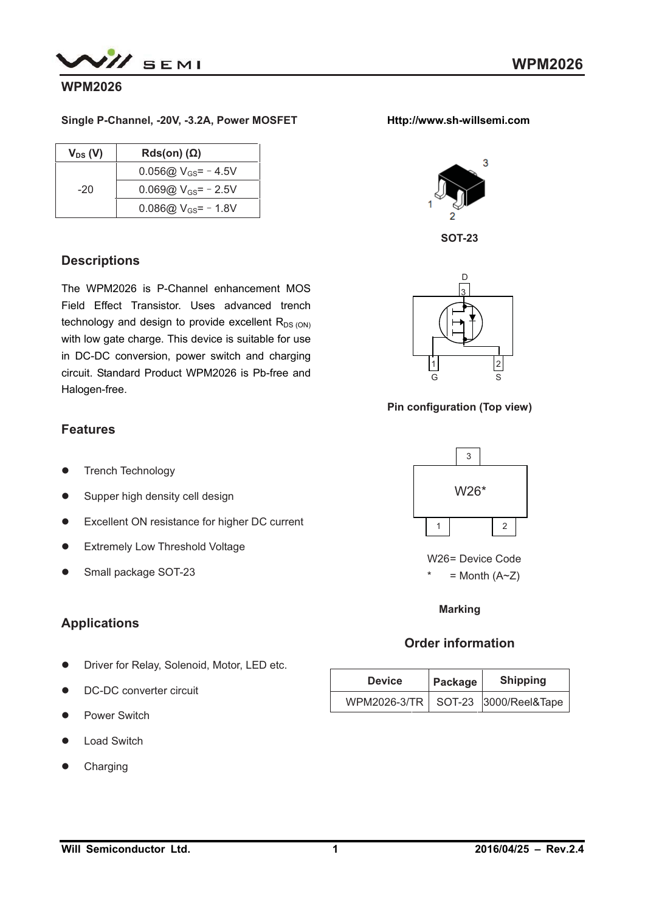

### **WPM2026**

#### **Single P-Channel, -20V, -3.2A, Power MOSFET**

| $V_{DS}$ (V) | $Rds(on)$ ( $\Omega$ )   |
|--------------|--------------------------|
|              | 0.056@ $V_{GS}$ = -4.5V  |
| $-20$        | 0.069@ $V_{GS}$ = - 2.5V |
|              | 0.086@ $V_{GS}$ = - 1.8V |

## **Descriptions**

The WPM2026 is P-Channel enhancement MOS Field Effect Transistor. Uses advanced trench technology and design to provide excellent  $R_{DS (ON)}$ with low gate charge. This device is suitable for use in DC-DC conversion, power switch and charging circuit. Standard Product WPM2026 is Pb-free and Halogen-free.

## **Features**

- -Trench Technology
- $\bullet$ Supper high density cell design
- Excellent ON resistance for higher DC current
- **•** Extremely Low Threshold Voltage
- $\bullet$ Small package SOT-23

## **Applications**

- $\bullet$ Driver for Relay, Solenoid, Motor, LED etc.
- $\bullet$ DC-DC converter circuit
- Power Switch
- $\bullet$ Load Switch
- $\bullet$ Charging









**Pin configuration (Top view)** 



W26= Device Code  $=$  Month (A~Z)

**Marking** 

## **Order information**

| <b>Device</b> | Package | <b>Shipping</b>                      |
|---------------|---------|--------------------------------------|
|               |         | WPM2026-3/TR   SOT-23 3000/Reel&Tape |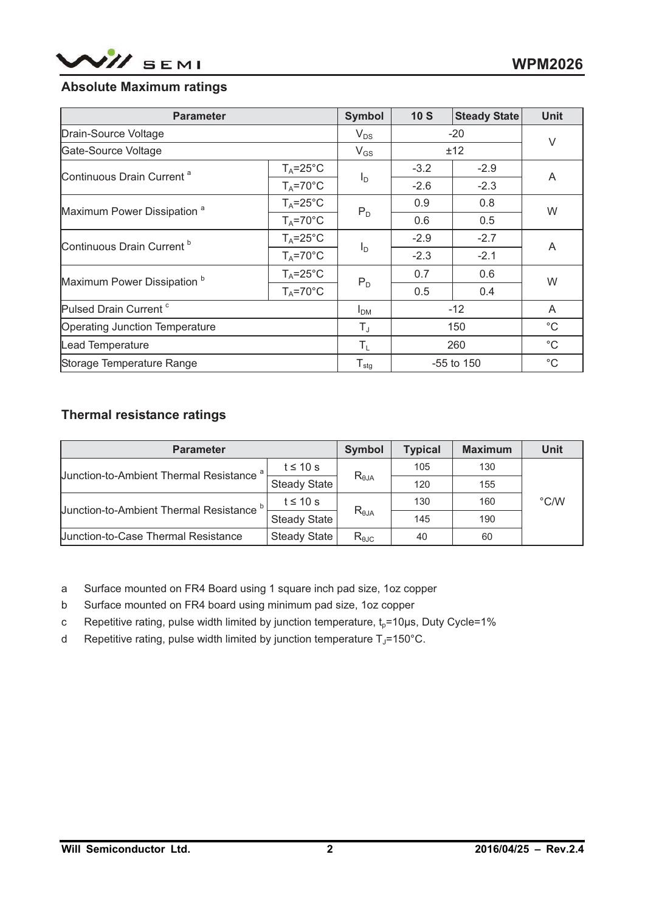

## **Absolute Maximum ratings**

| <b>Parameter</b>                       |                     | <b>Symbol</b>              | 10S    | <b>Steady State</b> | <b>Unit</b>  |  |
|----------------------------------------|---------------------|----------------------------|--------|---------------------|--------------|--|
| Drain-Source Voltage                   |                     | $V_{DS}$                   |        | $-20$               | $\vee$       |  |
| Gate-Source Voltage                    |                     | $V_{GS}$                   |        | ±12                 |              |  |
| Continuous Drain Current <sup>a</sup>  | $T_A = 25^{\circ}C$ |                            | $-3.2$ | $-2.9$              | A            |  |
|                                        | $T_A = 70^\circ C$  | $I_D$                      | $-2.6$ | $-2.3$              |              |  |
| Maximum Power Dissipation <sup>a</sup> | $T_A = 25^{\circ}C$ | $P_D$                      | 0.9    | 0.8                 | W            |  |
|                                        | $T_A = 70^\circ C$  |                            | 0.6    | 0.5                 |              |  |
| Continuous Drain Current <sup>b</sup>  | $T_A = 25^{\circ}C$ |                            | $-2.9$ | $-2.7$              | A            |  |
|                                        | $T_A = 70^\circ C$  | $I_D$                      | $-2.3$ | $-2.1$              |              |  |
| Maximum Power Dissipation <sup>b</sup> | $T_A = 25^{\circ}C$ |                            | 0.7    | 0.6                 |              |  |
|                                        | $T_A = 70^\circ C$  | $P_D$                      | 0.5    | 0.4                 | W            |  |
| Pulsed Drain Current <sup>c</sup>      |                     | $I_{DM}$                   |        | $-12$               | A            |  |
| Operating Junction Temperature         |                     | $T_{\text{J}}$             |        | 150                 | $^{\circ}$ C |  |
| Lead Temperature                       |                     | $T_L$                      |        | 260                 | $^{\circ}$ C |  |
| Storage Temperature Range              |                     | ${\mathsf T}_{\text{stg}}$ |        | -55 to 150          | $^{\circ}$ C |  |

## **Thermal resistance ratings**

| <b>Parameter</b>                                    |                     | <b>Symbol</b>   | <b>Typical</b> | <b>Maximum</b> | Unit          |
|-----------------------------------------------------|---------------------|-----------------|----------------|----------------|---------------|
| Junction-to-Ambient Thermal Resistance <sup>a</sup> | $t \leq 10$ s       |                 | 105            | 130            |               |
|                                                     | <b>Steady State</b> | $R_{\theta JA}$ | 120            | 155            |               |
| Junction-to-Ambient Thermal Resistance <sup>b</sup> | $t \leq 10$ s       | $R_{\theta JA}$ | 130            | 160            | $\degree$ C/W |
|                                                     | <b>Steady State</b> |                 | 145            | 190            |               |
| <b>Junction-to-Case Thermal Resistance</b>          | <b>Steady State</b> | $R_{\theta$ JC  | 40             | 60             |               |

a Surface mounted on FR4 Board using 1 square inch pad size, 1oz copper

- b Surface mounted on FR4 board using minimum pad size, 1oz copper
- c Repetitive rating, pulse width limited by junction temperature,  $t_0$ =10μs, Duty Cycle=1%
- d Repetitive rating, pulse width limited by junction temperature  $T_J$ =150°C.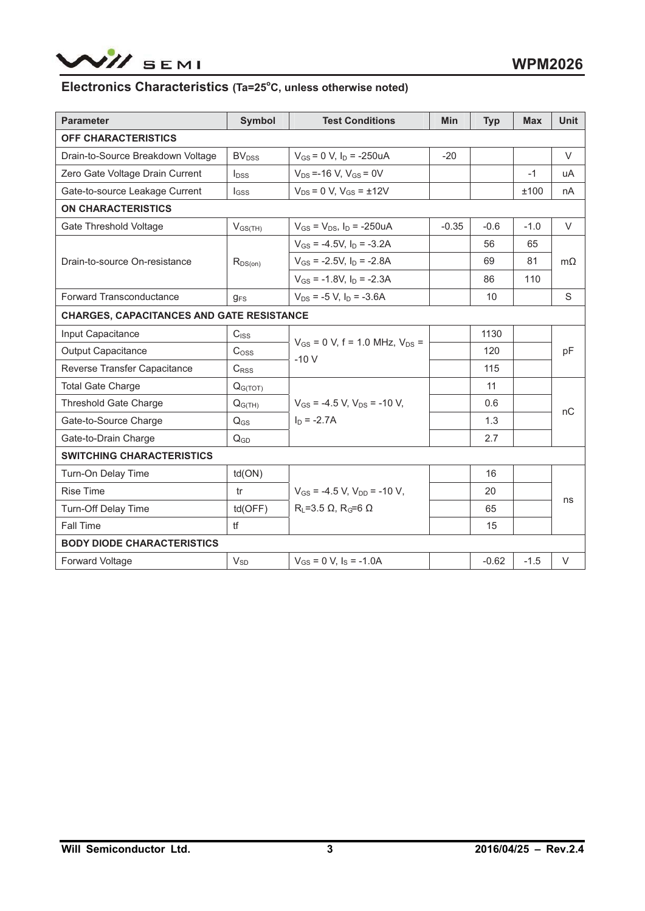

#### Electronics Characteristics (Ta=25°C, unless otherwise noted)

| <b>Parameter</b>                                 | <b>Symbol</b>           | <b>Test Conditions</b>                            | <b>Min</b> | <b>Typ</b> | <b>Max</b> | <b>Unit</b> |
|--------------------------------------------------|-------------------------|---------------------------------------------------|------------|------------|------------|-------------|
| <b>OFF CHARACTERISTICS</b>                       |                         |                                                   |            |            |            |             |
| Drain-to-Source Breakdown Voltage                | <b>BV<sub>DSS</sub></b> | $V_{GS}$ = 0 V, $I_D$ = -250uA                    | $-20$      |            |            | $\vee$      |
| Zero Gate Voltage Drain Current                  | $I_{DSS}$               | $V_{DS} = -16 V$ , $V_{GS} = 0V$                  |            |            | $-1$       | uA          |
| Gate-to-source Leakage Current                   | $I_{GSS}$               | $V_{DS} = 0 V$ , $V_{GS} = \pm 12V$               |            |            | ±100       | nА          |
| <b>ON CHARACTERISTICS</b>                        |                         |                                                   |            |            |            |             |
| Gate Threshold Voltage                           | $V_{GS(TH)}$            | $V_{GS} = V_{DS}$ , $I_D = -250uA$                | $-0.35$    | $-0.6$     | $-1.0$     | $\vee$      |
|                                                  |                         | $V_{GS}$ = -4.5V, $I_D$ = -3.2A                   |            | 56         | 65         |             |
| Drain-to-source On-resistance                    | $R_{DS(on)}$            | $V_{GS}$ = -2.5V, $I_D$ = -2.8A                   |            | 69         | 81         | $m\Omega$   |
|                                                  |                         | $V_{GS}$ = -1.8V, $I_D$ = -2.3A                   |            | 86         | 110        |             |
| <b>Forward Transconductance</b>                  | $g_{FS}$                | $V_{DS}$ = -5 V, $I_D$ = -3.6A                    |            | 10         |            | S           |
| <b>CHARGES, CAPACITANCES AND GATE RESISTANCE</b> |                         |                                                   |            |            |            |             |
| Input Capacitance                                | $C_{ISS}$               |                                                   |            | 1130       |            |             |
| <b>Output Capacitance</b>                        | C <sub>oss</sub>        | $V_{GS}$ = 0 V, f = 1.0 MHz, $V_{DS}$ =<br>$-10V$ |            | 120        |            | pF          |
| Reverse Transfer Capacitance                     | $C_{RSS}$               |                                                   |            | 115        |            |             |
| <b>Total Gate Charge</b>                         | Q <sub>G(TOT)</sub>     |                                                   |            | 11         |            |             |
| <b>Threshold Gate Charge</b>                     | $Q_{G(TH)}$             | $V_{GS}$ = -4.5 V, $V_{DS}$ = -10 V,              |            | 0.6        |            | пC          |
| Gate-to-Source Charge                            | $Q_{GS}$                | $I_D = -2.7A$                                     |            | 1.3        |            |             |
| Gate-to-Drain Charge                             | $Q_{GD}$                |                                                   |            | 2.7        |            |             |
| <b>SWITCHING CHARACTERISTICS</b>                 |                         |                                                   |            |            |            |             |
| Turn-On Delay Time                               | td(ON)                  |                                                   |            | 16         |            |             |
| <b>Rise Time</b>                                 | tr                      | $V_{GS}$ = -4.5 V. $V_{DD}$ = -10 V.              |            | 20         |            |             |
| <b>Turn-Off Delay Time</b>                       | td(OFF)                 | $R_L$ =3.5 $\Omega$ , $R_G$ =6 $\Omega$           |            | 65         |            | ns          |
| Fall Time                                        | H                       |                                                   |            | 15         |            |             |
| <b>BODY DIODE CHARACTERISTICS</b>                |                         |                                                   |            |            |            |             |
| Forward Voltage                                  | $V_{SD}$                | $V_{GS} = 0$ V, $I_S = -1.0$ A                    |            | $-0.62$    | $-1.5$     | V           |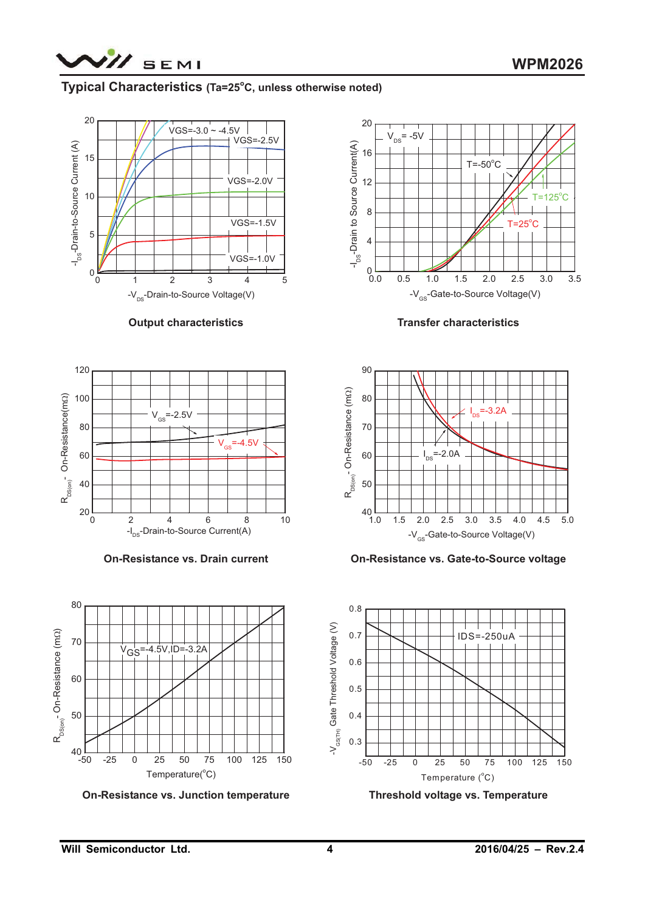

### **Typical Characteristics (Ta=25°C, unless otherwise noted)**



**Output characteristics** 



**On-Resistance vs. Drain current** 



**On-Resistance vs. Junction temperature** 



**Transfer characteristics** 



**On-Resistance vs. Gate-to-Source voltage** 



**Threshold voltage vs. Temperature**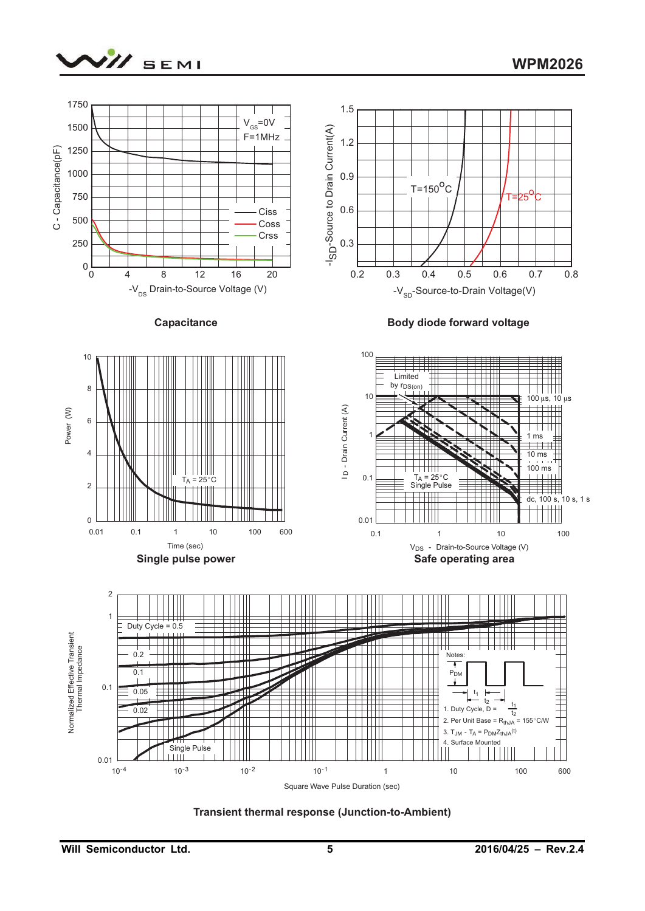



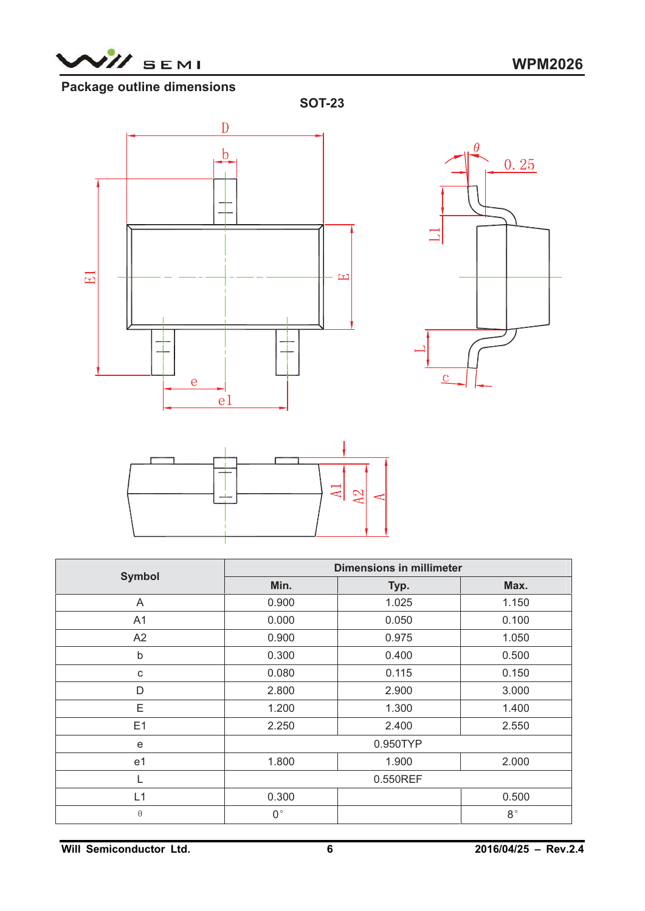

# **Package outline dimensions**







| <b>Symbol</b> |             | <b>Dimensions in millimeter</b> |             |  |
|---------------|-------------|---------------------------------|-------------|--|
|               | Min.        | Typ.                            | Max.        |  |
| A             | 0.900       | 1.025                           | 1.150       |  |
| A1            | 0.000       | 0.050                           | 0.100       |  |
| A2            | 0.900       | 0.975                           | 1.050       |  |
| b             | 0.300       | 0.400                           | 0.500       |  |
| C             | 0.080       | 0.115                           | 0.150       |  |
| D             | 2.800       | 2.900                           | 3.000       |  |
| Ε             | 1.200       | 1.300                           | 1.400       |  |
| E1            | 2.250       | 2.400                           | 2.550       |  |
| e             |             | 0.950TYP                        |             |  |
| e1            | 1.800       | 1.900                           | 2.000       |  |
|               |             | 0.550REF                        |             |  |
| L1            | 0.300       |                                 | 0.500       |  |
| $\theta$      | $0^{\circ}$ |                                 | $8^{\circ}$ |  |